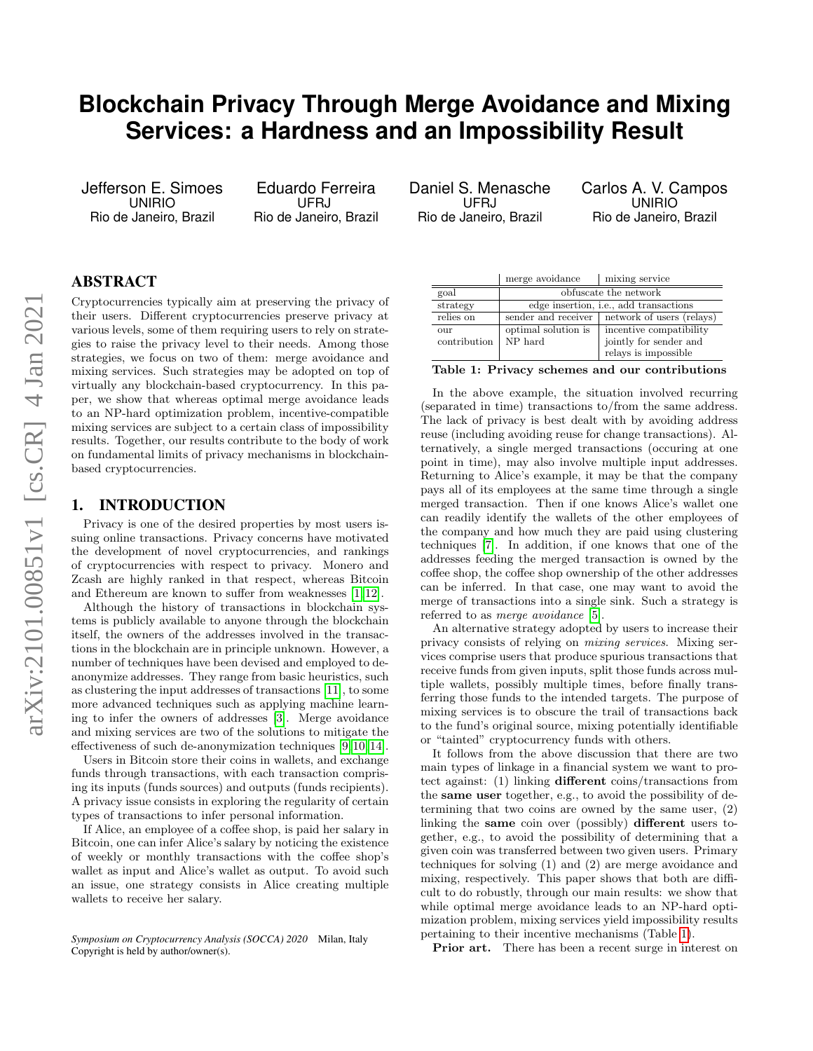# **Blockchain Privacy Through Merge Avoidance and Mixing Services: a Hardness and an Impossibility Result**

Jefferson E. Simoes UNIRIO Rio de Janeiro, Brazil

Eduardo Ferreira UFRJ Rio de Janeiro, Brazil Daniel S. Menasche UFRJ Rio de Janeiro, Brazil

Carlos A. V. Campos UNIRIO Rio de Janeiro, Brazil

# ABSTRACT

Cryptocurrencies typically aim at preserving the privacy of their users. Different cryptocurrencies preserve privacy at various levels, some of them requiring users to rely on strategies to raise the privacy level to their needs. Among those strategies, we focus on two of them: merge avoidance and mixing services. Such strategies may be adopted on top of virtually any blockchain-based cryptocurrency. In this paper, we show that whereas optimal merge avoidance leads to an NP-hard optimization problem, incentive-compatible mixing services are subject to a certain class of impossibility results. Together, our results contribute to the body of work on fundamental limits of privacy mechanisms in blockchainbased cryptocurrencies.

## 1. INTRODUCTION

Privacy is one of the desired properties by most users issuing online transactions. Privacy concerns have motivated the development of novel cryptocurrencies, and rankings of cryptocurrencies with respect to privacy. Monero and Zcash are highly ranked in that respect, whereas Bitcoin and Ethereum are known to suffer from weaknesses [\[1,](#page-3-0) [12\]](#page-3-1).

Although the history of transactions in blockchain systems is publicly available to anyone through the blockchain itself, the owners of the addresses involved in the transactions in the blockchain are in principle unknown. However, a number of techniques have been devised and employed to deanonymize addresses. They range from basic heuristics, such as clustering the input addresses of transactions [\[11\]](#page-3-2), to some more advanced techniques such as applying machine learning to infer the owners of addresses [\[3\]](#page-3-3). Merge avoidance and mixing services are two of the solutions to mitigate the effectiveness of such de-anonymization techniques [\[9,](#page-3-4) [10,](#page-3-5) [14\]](#page-3-6).

Users in Bitcoin store their coins in wallets, and exchange funds through transactions, with each transaction comprising its inputs (funds sources) and outputs (funds recipients). A privacy issue consists in exploring the regularity of certain types of transactions to infer personal information.

If Alice, an employee of a coffee shop, is paid her salary in Bitcoin, one can infer Alice's salary by noticing the existence of weekly or monthly transactions with the coffee shop's wallet as input and Alice's wallet as output. To avoid such an issue, one strategy consists in Alice creating multiple wallets to receive her salary.

|              | merge avoidance                                | mixing service            |
|--------------|------------------------------------------------|---------------------------|
| goal         | obfuscate the network                          |                           |
| strategy     | edge insertion, <i>i.e.</i> , add transactions |                           |
| relies on    | sender and receiver                            | network of users (relays) |
| $_{OIII}$    | optimal solution is                            | incentive compatibility   |
| contribution | NP hard                                        | jointly for sender and    |
|              |                                                | relays is impossible      |

<span id="page-0-0"></span>Table 1: Privacy schemes and our contributions

In the above example, the situation involved recurring (separated in time) transactions to/from the same address. The lack of privacy is best dealt with by avoiding address reuse (including avoiding reuse for change transactions). Alternatively, a single merged transactions (occuring at one point in time), may also involve multiple input addresses. Returning to Alice's example, it may be that the company pays all of its employees at the same time through a single merged transaction. Then if one knows Alice's wallet one can readily identify the wallets of the other employees of the company and how much they are paid using clustering techniques [\[7\]](#page-3-7). In addition, if one knows that one of the addresses feeding the merged transaction is owned by the coffee shop, the coffee shop ownership of the other addresses can be inferred. In that case, one may want to avoid the merge of transactions into a single sink. Such a strategy is referred to as *merge avoidance* [\[5\]](#page-3-8).

An alternative strategy adopted by users to increase their privacy consists of relying on *mixing services*. Mixing services comprise users that produce spurious transactions that receive funds from given inputs, split those funds across multiple wallets, possibly multiple times, before finally transferring those funds to the intended targets. The purpose of mixing services is to obscure the trail of transactions back to the fund's original source, mixing potentially identifiable or "tainted" cryptocurrency funds with others.

It follows from the above discussion that there are two main types of linkage in a financial system we want to protect against: (1) linking different coins/transactions from the same user together, e.g., to avoid the possibility of determining that two coins are owned by the same user, (2) linking the same coin over (possibly) different users together, e.g., to avoid the possibility of determining that a given coin was transferred between two given users. Primary techniques for solving (1) and (2) are merge avoidance and mixing, respectively. This paper shows that both are difficult to do robustly, through our main results: we show that while optimal merge avoidance leads to an NP-hard optimization problem, mixing services yield impossibility results pertaining to their incentive mechanisms (Table [1\)](#page-0-0).

Prior art. There has been a recent surge in interest on

*Symposium on Cryptocurrency Analysis (SOCCA) 2020* Milan, Italy Copyright is held by author/owner(s).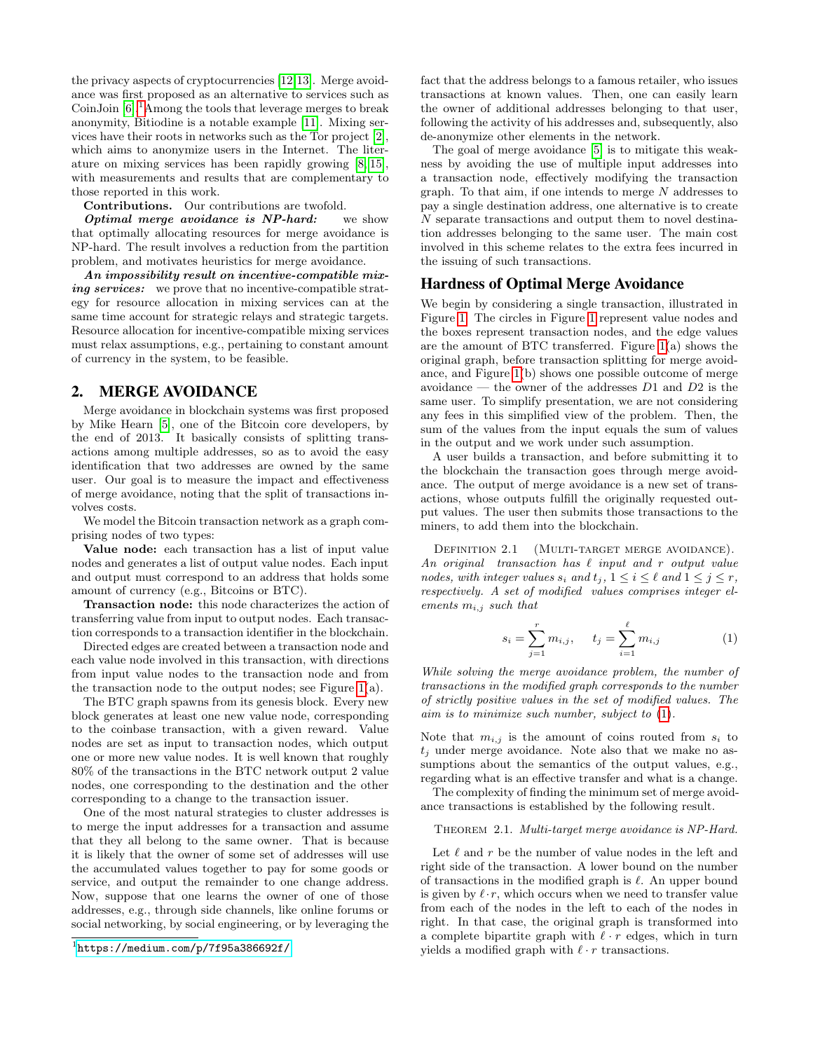the privacy aspects of cryptocurrencies [\[12,](#page-3-1)[13\]](#page-3-9). Merge avoidance was first proposed as an alternative to services such as CoinJoin  $[6]$ <sup>[1](#page-1-0)</sup>Among the tools that leverage merges to break anonymity, Bitiodine is a notable example [\[11\]](#page-3-2). Mixing services have their roots in networks such as the Tor project [\[2\]](#page-3-11), which aims to anonymize users in the Internet. The literature on mixing services has been rapidly growing [\[8,](#page-3-12) [15\]](#page-3-13), with measurements and results that are complementary to those reported in this work.

Contributions. Our contributions are twofold.

**Optimal merge avoidance is NP-hard:** we show that optimally allocating resources for merge avoidance is NP-hard. The result involves a reduction from the partition problem, and motivates heuristics for merge avoidance.

An impossibility result on incentive-compatible mixing services: we prove that no incentive-compatible strategy for resource allocation in mixing services can at the same time account for strategic relays and strategic targets. Resource allocation for incentive-compatible mixing services must relax assumptions, e.g., pertaining to constant amount of currency in the system, to be feasible.

#### 2. MERGE AVOIDANCE

Merge avoidance in blockchain systems was first proposed by Mike Hearn [\[5\]](#page-3-8), one of the Bitcoin core developers, by the end of 2013. It basically consists of splitting transactions among multiple addresses, so as to avoid the easy identification that two addresses are owned by the same user. Our goal is to measure the impact and effectiveness of merge avoidance, noting that the split of transactions involves costs.

We model the Bitcoin transaction network as a graph comprising nodes of two types:

Value node: each transaction has a list of input value nodes and generates a list of output value nodes. Each input and output must correspond to an address that holds some amount of currency (e.g., Bitcoins or BTC).

Transaction node: this node characterizes the action of transferring value from input to output nodes. Each transaction corresponds to a transaction identifier in the blockchain.

Directed edges are created between a transaction node and each value node involved in this transaction, with directions from input value nodes to the transaction node and from the transaction node to the output nodes; see Figure [1\(](#page-2-0)a).

The BTC graph spawns from its genesis block. Every new block generates at least one new value node, corresponding to the coinbase transaction, with a given reward. Value nodes are set as input to transaction nodes, which output one or more new value nodes. It is well known that roughly 80% of the transactions in the BTC network output 2 value nodes, one corresponding to the destination and the other corresponding to a change to the transaction issuer.

One of the most natural strategies to cluster addresses is to merge the input addresses for a transaction and assume that they all belong to the same owner. That is because it is likely that the owner of some set of addresses will use the accumulated values together to pay for some goods or service, and output the remainder to one change address. Now, suppose that one learns the owner of one of those addresses, e.g., through side channels, like online forums or social networking, by social engineering, or by leveraging the fact that the address belongs to a famous retailer, who issues transactions at known values. Then, one can easily learn the owner of additional addresses belonging to that user, following the activity of his addresses and, subsequently, also de-anonymize other elements in the network.

The goal of merge avoidance [\[5\]](#page-3-8) is to mitigate this weakness by avoiding the use of multiple input addresses into a transaction node, effectively modifying the transaction graph. To that aim, if one intends to merge  $N$  addresses to pay a single destination address, one alternative is to create N separate transactions and output them to novel destination addresses belonging to the same user. The main cost involved in this scheme relates to the extra fees incurred in the issuing of such transactions.

#### Hardness of Optimal Merge Avoidance

We begin by considering a single transaction, illustrated in Figure [1.](#page-2-0) The circles in Figure [1](#page-2-0) represent value nodes and the boxes represent transaction nodes, and the edge values are the amount of BTC transferred. Figure [1\(](#page-2-0)a) shows the original graph, before transaction splitting for merge avoidance, and Figure [1\(](#page-2-0)b) shows one possible outcome of merge avoidance — the owner of the addresses  $D1$  and  $D2$  is the same user. To simplify presentation, we are not considering any fees in this simplified view of the problem. Then, the sum of the values from the input equals the sum of values in the output and we work under such assumption.

A user builds a transaction, and before submitting it to the blockchain the transaction goes through merge avoidance. The output of merge avoidance is a new set of transactions, whose outputs fulfill the originally requested output values. The user then submits those transactions to the miners, to add them into the blockchain.

DEFINITION 2.1 (MULTI-TARGET MERGE AVOIDANCE). An original transaction has  $\ell$  input and r output value nodes, with integer values  $s_i$  and  $t_j$ ,  $1 \leq i \leq \ell$  and  $1 \leq j \leq r$ , respectively. A set of modified values comprises integer elements  $m_{i,j}$  such that

<span id="page-1-1"></span>
$$
s_i = \sum_{j=1}^r m_{i,j}, \qquad t_j = \sum_{i=1}^\ell m_{i,j} \tag{1}
$$

While solving the merge avoidance problem, the number of transactions in the modified graph corresponds to the number of strictly positive values in the set of modified values. The aim is to minimize such number, subject to [\(1\)](#page-1-1).

Note that  $m_{i,j}$  is the amount of coins routed from  $s_i$  to  $t_j$  under merge avoidance. Note also that we make no assumptions about the semantics of the output values, e.g., regarding what is an effective transfer and what is a change.

The complexity of finding the minimum set of merge avoidance transactions is established by the following result.

THEOREM 2.1. Multi-target merge avoidance is NP-Hard.

Let  $\ell$  and  $r$  be the number of value nodes in the left and right side of the transaction. A lower bound on the number of transactions in the modified graph is  $\ell$ . An upper bound is given by  $\ell \cdot r$ , which occurs when we need to transfer value from each of the nodes in the left to each of the nodes in right. In that case, the original graph is transformed into a complete bipartite graph with  $\ell \cdot r$  edges, which in turn yields a modified graph with  $\ell \cdot r$  transactions.

<span id="page-1-0"></span> $1$ <https://medium.com/p/7f95a386692f/>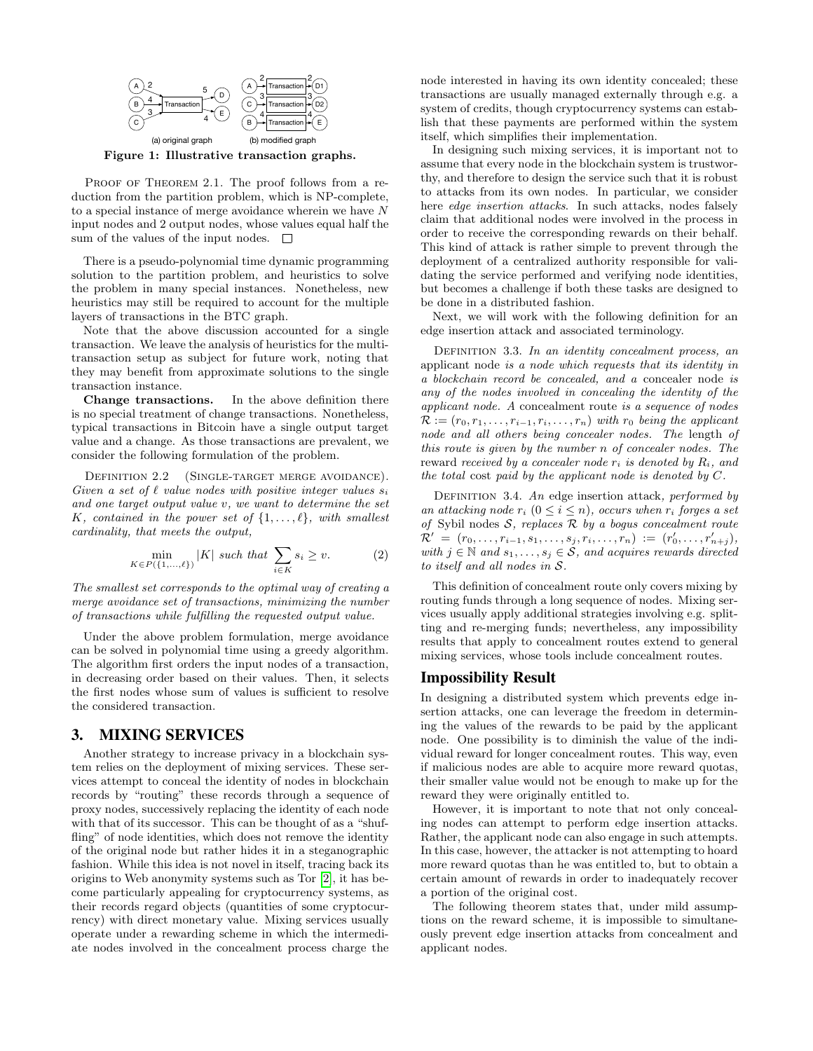

<span id="page-2-0"></span>Figure 1: Illustrative transaction graphs.

PROOF OF THEOREM 2.1. The proof follows from a reduction from the partition problem, which is NP-complete, to a special instance of merge avoidance wherein we have N input nodes and 2 output nodes, whose values equal half the sum of the values of the input nodes.  $\Box$ 

There is a pseudo-polynomial time dynamic programming solution to the partition problem, and heuristics to solve the problem in many special instances. Nonetheless, new heuristics may still be required to account for the multiple layers of transactions in the BTC graph.

Note that the above discussion accounted for a single transaction. We leave the analysis of heuristics for the multitransaction setup as subject for future work, noting that they may benefit from approximate solutions to the single transaction instance.

Change transactions. In the above definition there is no special treatment of change transactions. Nonetheless, typical transactions in Bitcoin have a single output target value and a change. As those transactions are prevalent, we consider the following formulation of the problem.

DEFINITION 2.2 (SINGLE-TARGET MERGE AVOIDANCE). Given a set of  $\ell$  value nodes with positive integer values  $s_i$ and one target output value v, we want to determine the set K, contained in the power set of  $\{1, \ldots, \ell\}$ , with smallest cardinality, that meets the output,

$$
\min_{K \in P(\{1,\ldots,\ell\})} |K| \text{ such that } \sum_{i \in K} s_i \ge v. \tag{2}
$$

The smallest set corresponds to the optimal way of creating a merge avoidance set of transactions, minimizing the number of transactions while fulfilling the requested output value.

Under the above problem formulation, merge avoidance can be solved in polynomial time using a greedy algorithm. The algorithm first orders the input nodes of a transaction, in decreasing order based on their values. Then, it selects the first nodes whose sum of values is sufficient to resolve the considered transaction.

#### 3. MIXING SERVICES

Another strategy to increase privacy in a blockchain system relies on the deployment of mixing services. These services attempt to conceal the identity of nodes in blockchain records by "routing" these records through a sequence of proxy nodes, successively replacing the identity of each node with that of its successor. This can be thought of as a "shuffling" of node identities, which does not remove the identity of the original node but rather hides it in a steganographic fashion. While this idea is not novel in itself, tracing back its origins to Web anonymity systems such as Tor [\[2\]](#page-3-11), it has become particularly appealing for cryptocurrency systems, as their records regard objects (quantities of some cryptocurrency) with direct monetary value. Mixing services usually operate under a rewarding scheme in which the intermediate nodes involved in the concealment process charge the node interested in having its own identity concealed; these transactions are usually managed externally through e.g. a system of credits, though cryptocurrency systems can establish that these payments are performed within the system itself, which simplifies their implementation.

In designing such mixing services, it is important not to assume that every node in the blockchain system is trustworthy, and therefore to design the service such that it is robust to attacks from its own nodes. In particular, we consider here *edge insertion attacks*. In such attacks, nodes falsely claim that additional nodes were involved in the process in order to receive the corresponding rewards on their behalf. This kind of attack is rather simple to prevent through the deployment of a centralized authority responsible for validating the service performed and verifying node identities, but becomes a challenge if both these tasks are designed to be done in a distributed fashion.

Next, we will work with the following definition for an edge insertion attack and associated terminology.

DEFINITION 3.3. In an identity concealment process, an applicant node is a node which requests that its identity in a blockchain record be concealed, and a concealer node is any of the nodes involved in concealing the identity of the applicant node. A concealment route is a sequence of nodes  $\mathcal{R} := (r_0, r_1, \ldots, r_{i-1}, r_i, \ldots, r_n)$  with  $r_0$  being the applicant node and all others being concealer nodes. The length of this route is given by the number n of concealer nodes. The reward received by a concealer node  $r_i$  is denoted by  $R_i$ , and the total cost paid by the applicant node is denoted by C.

DEFINITION 3.4. An edge insertion attack, performed by an attacking node  $r_i$   $(0 \le i \le n)$ , occurs when  $r_i$  forges a set of Sybil nodes  $S$ , replaces  $R$  by a bogus concealment route  $\mathcal{R}' = (r_0, \ldots, r_{i-1}, s_1, \ldots, s_j, r_i, \ldots, r_n) := (r'_0, \ldots, r'_{n+j}),$ with  $j \in \mathbb{N}$  and  $s_1, \ldots, s_j \in \mathcal{S}$ , and acquires rewards directed to itself and all nodes in S.

This definition of concealment route only covers mixing by routing funds through a long sequence of nodes. Mixing services usually apply additional strategies involving e.g. splitting and re-merging funds; nevertheless, any impossibility results that apply to concealment routes extend to general mixing services, whose tools include concealment routes.

#### Impossibility Result

In designing a distributed system which prevents edge insertion attacks, one can leverage the freedom in determining the values of the rewards to be paid by the applicant node. One possibility is to diminish the value of the individual reward for longer concealment routes. This way, even if malicious nodes are able to acquire more reward quotas, their smaller value would not be enough to make up for the reward they were originally entitled to.

However, it is important to note that not only concealing nodes can attempt to perform edge insertion attacks. Rather, the applicant node can also engage in such attempts. In this case, however, the attacker is not attempting to hoard more reward quotas than he was entitled to, but to obtain a certain amount of rewards in order to inadequately recover a portion of the original cost.

<span id="page-2-1"></span>The following theorem states that, under mild assumptions on the reward scheme, it is impossible to simultaneously prevent edge insertion attacks from concealment and applicant nodes.